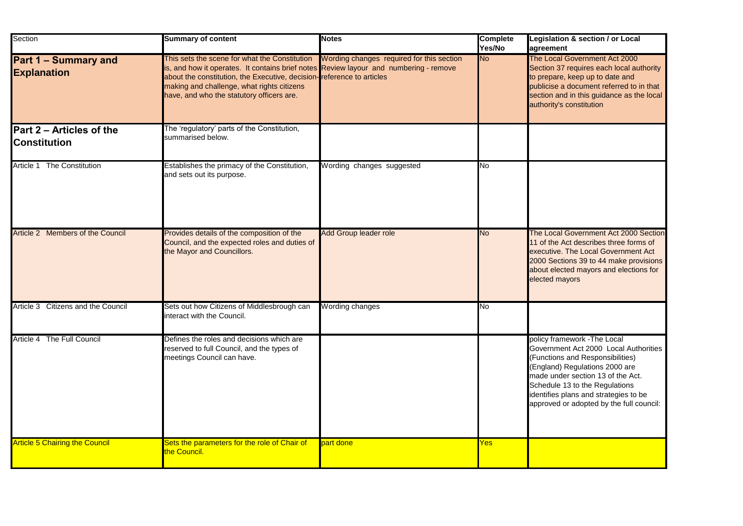| Section                                           | <b>Summary of content</b>                                                                                                                                                                                                                                                                                                                            | <b>Notes</b>                 | <b>Complete</b><br>Yes/No | Legislation & section / or Local<br>agreement                                                                                                                                                                                                                                                           |
|---------------------------------------------------|------------------------------------------------------------------------------------------------------------------------------------------------------------------------------------------------------------------------------------------------------------------------------------------------------------------------------------------------------|------------------------------|---------------------------|---------------------------------------------------------------------------------------------------------------------------------------------------------------------------------------------------------------------------------------------------------------------------------------------------------|
| <b>Part 1 – Summary and</b><br><b>Explanation</b> | This sets the scene for what the Constitution Wording changes required for this section<br>is, and how it operates. It contains brief notes Review layour and numbering - remove<br>about the constitution, the Executive, decision-reference to articles<br>making and challenge, what rights citizens<br>have, and who the statutory officers are. |                              | <b>No</b>                 | The Local Government Act 2000<br>Section 37 requires each local authority<br>to prepare, keep up to date and<br>publicise a document referred to in that<br>section and in this guidance as the local<br>authority's constitution                                                                       |
| Part 2 – Articles of the<br>Constitution          | The 'regulatory' parts of the Constitution,<br>summarised below.                                                                                                                                                                                                                                                                                     |                              |                           |                                                                                                                                                                                                                                                                                                         |
| Article 1 The Constitution                        | Establishes the primacy of the Constitution,<br>and sets out its purpose.                                                                                                                                                                                                                                                                            | Wording changes suggested    | <b>No</b>                 |                                                                                                                                                                                                                                                                                                         |
| Article 2 Members of the Council                  | Provides details of the composition of the<br>Council, and the expected roles and duties of<br>the Mayor and Councillors.                                                                                                                                                                                                                            | <b>Add Group leader role</b> | <b>No</b>                 | The Local Government Act 2000 Section<br>11 of the Act describes three forms of<br>executive. The Local Government Act<br>2000 Sections 39 to 44 make provisions<br>about elected mayors and elections for<br>elected mayors                                                                            |
| Article 3 Citizens and the Council                | Sets out how Citizens of Middlesbrough can<br>interact with the Council.                                                                                                                                                                                                                                                                             | Wording changes              | No                        |                                                                                                                                                                                                                                                                                                         |
| Article 4 The Full Council                        | Defines the roles and decisions which are<br>reserved to full Council, and the types of<br>meetings Council can have.                                                                                                                                                                                                                                |                              |                           | policy framework - The Local<br>Government Act 2000 Local Authorities<br>(Functions and Responsibilities)<br>(England) Regulations 2000 are<br>made under section 13 of the Act.<br>Schedule 13 to the Regulations<br>identifies plans and strategies to be<br>approved or adopted by the full council: |
| <b>Article 5 Chairing the Council</b>             | Sets the parameters for the role of Chair of<br>the Council.                                                                                                                                                                                                                                                                                         | part done                    | <b>Yes</b>                |                                                                                                                                                                                                                                                                                                         |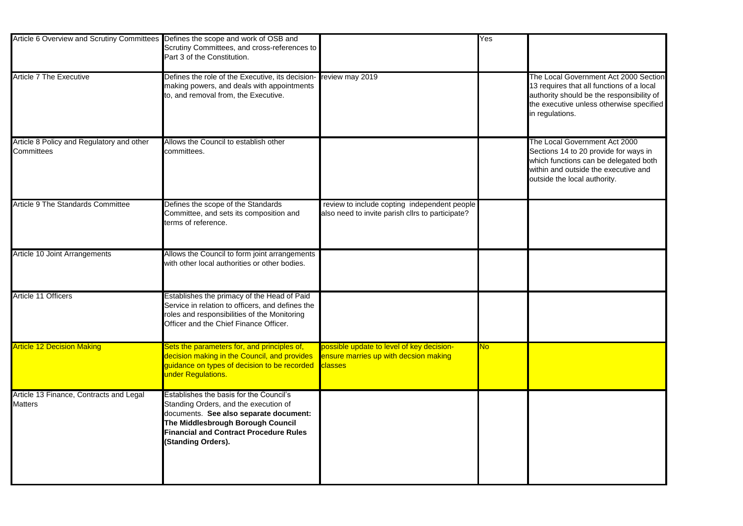| Article 6 Overview and Scrutiny Committees Defines the scope and work of OSB and | Scrutiny Committees, and cross-references to<br>Part 3 of the Constitution.                                                                                                                                                            |                                                                                                      | $\overline{\text{Yes}}$ |                                                                             |
|----------------------------------------------------------------------------------|----------------------------------------------------------------------------------------------------------------------------------------------------------------------------------------------------------------------------------------|------------------------------------------------------------------------------------------------------|-------------------------|-----------------------------------------------------------------------------|
| <b>Article 7 The Executive</b>                                                   | Defines the role of the Executive, its decision- review may 2019<br>making powers, and deals with appointments<br>to, and removal from, the Executive.                                                                                 |                                                                                                      |                         | <b>The Loca</b><br>13 require<br>authority<br>the exect<br>in regulat       |
| Article 8 Policy and Regulatory and other<br><b>Committees</b>                   | Allows the Council to establish other<br>committees.                                                                                                                                                                                   |                                                                                                      |                         | <b>The Loca</b><br><b>Sections</b><br>which fur<br>within and<br>outside th |
| <b>Article 9 The Standards Committee</b>                                         | Defines the scope of the Standards<br>Committee, and sets its composition and<br>terms of reference.                                                                                                                                   | review to include copting independent people<br>also need to invite parish cllrs to participate?     |                         |                                                                             |
| Article 10 Joint Arrangements                                                    | Allows the Council to form joint arrangements<br>with other local authorities or other bodies.                                                                                                                                         |                                                                                                      |                         |                                                                             |
| <b>Article 11 Officers</b>                                                       | Establishes the primacy of the Head of Paid<br>Service in relation to officers, and defines the<br>roles and responsibilities of the Monitoring<br>Officer and the Chief Finance Officer.                                              |                                                                                                      |                         |                                                                             |
| <b>Article 12 Decision Making</b>                                                | Sets the parameters for, and principles of,<br>decision making in the Council, and provides<br>guidance on types of decision to be recorded<br>under Regulations.                                                                      | possible update to level of key decision-<br>ensure marries up with decsion making<br><b>Classes</b> | <b>No</b>               |                                                                             |
| Article 13 Finance, Contracts and Legal<br><b>Matters</b>                        | Establishes the basis for the Council's<br>Standing Orders, and the execution of<br>documents. See also separate document:<br>The Middlesbrough Borough Council<br><b>Financial and Contract Procedure Rules</b><br>(Standing Orders). |                                                                                                      |                         |                                                                             |

al Government Act 2000 Section res that all functions of a local authority should be the responsibility of the executive unless otherwise specified tions.

al Government Act 2000 Sections 14 to 20 provide for ways in which functions can be delegated both within and outside the executive and he local authority.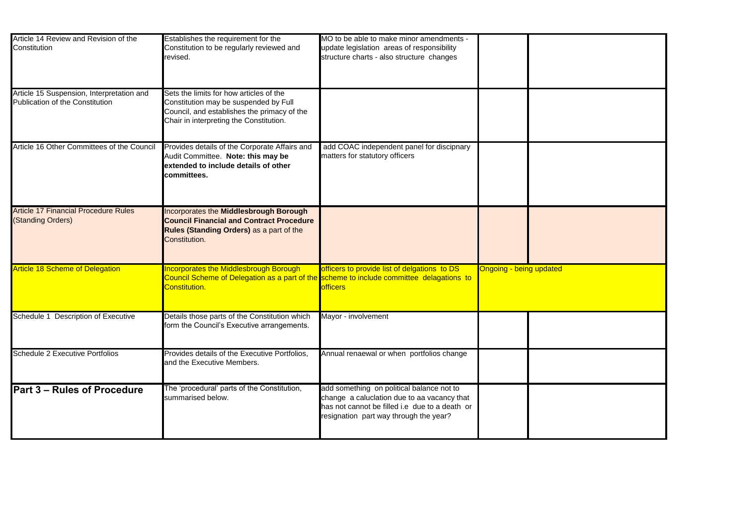| Article 14 Review and Revision of the<br>Constitution                               | Establishes the requirement for the<br>Constitution to be regularly reviewed and<br>revised.                                                                               | MO to be able to make minor amendments -<br>update legislation areas of responsibility<br>structure charts - also structure changes                                                  |                                |  |
|-------------------------------------------------------------------------------------|----------------------------------------------------------------------------------------------------------------------------------------------------------------------------|--------------------------------------------------------------------------------------------------------------------------------------------------------------------------------------|--------------------------------|--|
| Article 15 Suspension, Interpretation and<br><b>Publication of the Constitution</b> | Sets the limits for how articles of the<br>Constitution may be suspended by Full<br>Council, and establishes the primacy of the<br>Chair in interpreting the Constitution. |                                                                                                                                                                                      |                                |  |
| Article 16 Other Committees of the Council                                          | Provides details of the Corporate Affairs and<br>Audit Committee. Note: this may be<br>extended to include details of other<br>committees.                                 | add COAC independent panel for discipnary<br>matters for statutory officers                                                                                                          |                                |  |
| <b>Article 17 Financial Procedure Rules</b><br>(Standing Orders)                    | <b>Incorporates the Middlesbrough Borough</b><br><b>Council Financial and Contract Procedure</b><br><b>Rules (Standing Orders)</b> as a part of the<br>Constitution.       |                                                                                                                                                                                      |                                |  |
| <b>Article 18 Scheme of Delegation</b>                                              | <b>Incorporates the Middlesbrough Borough</b><br>Council Scheme of Delegation as a part of the scheme to include committee delagations to<br>Constitution.                 | officers to provide list of delgations to DS<br><b>officers</b>                                                                                                                      | <b>Ongoing - being updated</b> |  |
| Schedule 1 Description of Executive                                                 | Details those parts of the Constitution which<br>form the Council's Executive arrangements.                                                                                | Mayor - involvement                                                                                                                                                                  |                                |  |
| <b>Schedule 2 Executive Portfolios</b>                                              | Provides details of the Executive Portfolios,<br>and the Executive Members.                                                                                                | Annual renaewal or when portfolios change                                                                                                                                            |                                |  |
| <b>IPart 3 – Rules of Procedure</b>                                                 | The 'procedural' parts of the Constitution,<br>summarised below.                                                                                                           | add something on political balance not to<br>change a caluclation due to aa vacancy that<br>has not cannot be filled i.e due to a death or<br>resignation part way through the year? |                                |  |

| $\overline{\mathsf{bd}}$ |  |  |
|--------------------------|--|--|
|                          |  |  |
|                          |  |  |
|                          |  |  |
|                          |  |  |
|                          |  |  |
|                          |  |  |
|                          |  |  |
|                          |  |  |
|                          |  |  |
|                          |  |  |
|                          |  |  |
|                          |  |  |
|                          |  |  |
|                          |  |  |
|                          |  |  |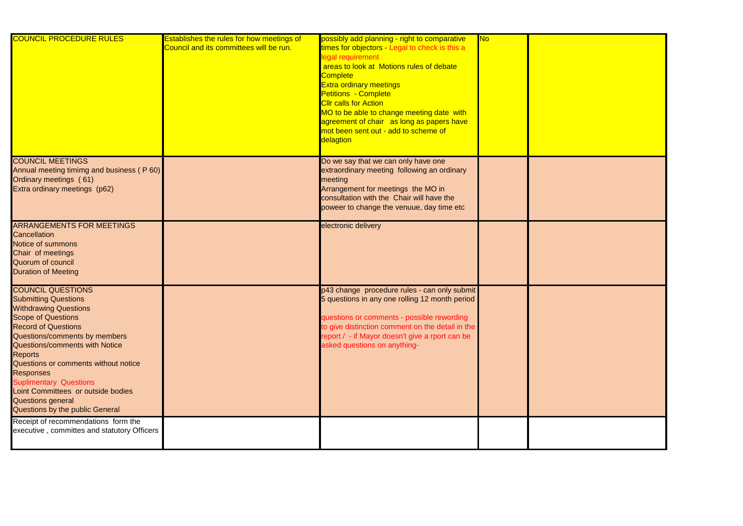| <b>COUNCIL PROCEDURE RULES</b>                                                                                                                                                                                                                                                                                                                                                                                                                   | <b>Establishes the rules for how meetings of</b><br>Council and its committees will be run. | possibly add planning - right to comparative<br>times for objectors - Legal to check is this a<br>legal requirement<br>areas to look at Motions rules of debate<br><b>Complete</b><br><b>Extra ordinary meetings</b><br><b>Petitions - Complete</b><br><b>Cllr calls for Action</b><br>MO to be able to change meeting date with<br>agreement of chair as long as papers have<br>mot been sent out - add to scheme of<br>delagtion | <b>No</b> |  |
|--------------------------------------------------------------------------------------------------------------------------------------------------------------------------------------------------------------------------------------------------------------------------------------------------------------------------------------------------------------------------------------------------------------------------------------------------|---------------------------------------------------------------------------------------------|------------------------------------------------------------------------------------------------------------------------------------------------------------------------------------------------------------------------------------------------------------------------------------------------------------------------------------------------------------------------------------------------------------------------------------|-----------|--|
| <b>COUNCIL MEETINGS</b><br>Annual meeting timimg and business (P60)<br>Ordinary meetings (61)<br>Extra ordinary meetings (p62)                                                                                                                                                                                                                                                                                                                   |                                                                                             | Do we say that we can only have one<br>extraordinary meeting following an ordinary<br>meeting<br>Arrangement for meetings the MO in<br>consultation with the Chair will have the<br>poweer to change the venuue, day time etc                                                                                                                                                                                                      |           |  |
| <b>ARRANGEMENTS FOR MEETINGS</b><br><b>Cancellation</b><br><b>Notice of summons</b><br>Chair of meetings<br><b>Quorum of council</b><br><b>Duration of Meeting</b>                                                                                                                                                                                                                                                                               |                                                                                             | electronic delivery                                                                                                                                                                                                                                                                                                                                                                                                                |           |  |
| <b>COUNCIL QUESTIONS</b><br><b>Submitting Questions</b><br><b>Withdrawing Questions</b><br><b>Scope of Questions</b><br><b>Record of Questions</b><br>Questions/comments by members<br><b>Questions/comments with Notice</b><br><b>Reports</b><br>Questions or comments without notice<br><b>Responses</b><br><b>Suplimentary Questions</b><br>Loint Committees or outside bodies<br><b>Questions general</b><br>Questions by the public General |                                                                                             | p43 change procedure rules - can only submit<br>5 questions in any one rolling 12 month period<br>questions or comments - possible rewording<br>to give distinction comment on the detail in the<br>report / - if Mayor doesn't give a rport can be<br>asked questions on anything-                                                                                                                                                |           |  |
| Receipt of recommendations form the<br>executive, committes and statutory Officers                                                                                                                                                                                                                                                                                                                                                               |                                                                                             |                                                                                                                                                                                                                                                                                                                                                                                                                                    |           |  |

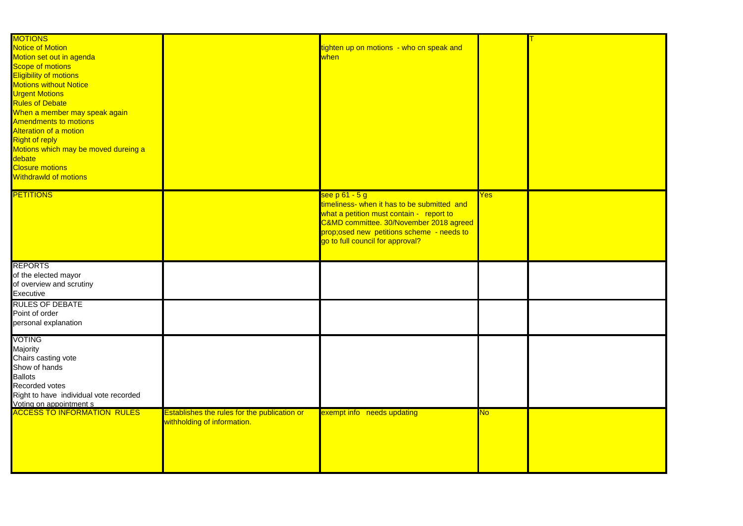| <b>MOTIONS</b>                         |                                              |                                             |                |  |
|----------------------------------------|----------------------------------------------|---------------------------------------------|----------------|--|
| <b>Notice of Motion</b>                |                                              | tighten up on motions - who cn speak and    |                |  |
| Motion set out in agenda               |                                              | when                                        |                |  |
| <b>Scope of motions</b>                |                                              |                                             |                |  |
| <b>Eligibility of motions</b>          |                                              |                                             |                |  |
| <b>Motions without Notice</b>          |                                              |                                             |                |  |
|                                        |                                              |                                             |                |  |
| <b>Urgent Motions</b>                  |                                              |                                             |                |  |
| <b>Rules of Debate</b>                 |                                              |                                             |                |  |
| When a member may speak again          |                                              |                                             |                |  |
| <b>Amendments to motions</b>           |                                              |                                             |                |  |
| <b>Alteration of a motion</b>          |                                              |                                             |                |  |
| <b>Right of reply</b>                  |                                              |                                             |                |  |
| Motions which may be moved dureing a   |                                              |                                             |                |  |
| debate                                 |                                              |                                             |                |  |
| <b>Closure motions</b>                 |                                              |                                             |                |  |
|                                        |                                              |                                             |                |  |
| <b>Withdrawld of motions</b>           |                                              |                                             |                |  |
| <b>PETITIONS</b>                       |                                              | see p 61 - 5 g                              | Yes            |  |
|                                        |                                              | timeliness- when it has to be submitted and |                |  |
|                                        |                                              |                                             |                |  |
|                                        |                                              | what a petition must contain - report to    |                |  |
|                                        |                                              | C&MD committee. 30/November 2018 agreed     |                |  |
|                                        |                                              | prop;osed new petitions scheme - needs to   |                |  |
|                                        |                                              | go to full council for approval?            |                |  |
|                                        |                                              |                                             |                |  |
| <b>REPORTS</b>                         |                                              |                                             |                |  |
| of the elected mayor                   |                                              |                                             |                |  |
| of overview and scrutiny               |                                              |                                             |                |  |
|                                        |                                              |                                             |                |  |
| Executive                              |                                              |                                             |                |  |
| <b>RULES OF DEBATE</b>                 |                                              |                                             |                |  |
| Point of order                         |                                              |                                             |                |  |
| personal explanation                   |                                              |                                             |                |  |
|                                        |                                              |                                             |                |  |
| <b>VOTING</b>                          |                                              |                                             |                |  |
| <b>Majority</b>                        |                                              |                                             |                |  |
| Chairs casting vote                    |                                              |                                             |                |  |
| Show of hands                          |                                              |                                             |                |  |
| <b>Ballots</b>                         |                                              |                                             |                |  |
| <b>Recorded votes</b>                  |                                              |                                             |                |  |
| Right to have individual vote recorded |                                              |                                             |                |  |
| Voting on appointment s                |                                              |                                             |                |  |
| <b>ACCESS TO INFORMATION RULES</b>     | Establishes the rules for the publication or | exempt info needs updating                  | N <sub>o</sub> |  |
|                                        | withholding of information.                  |                                             |                |  |
|                                        |                                              |                                             |                |  |
|                                        |                                              |                                             |                |  |
|                                        |                                              |                                             |                |  |
|                                        |                                              |                                             |                |  |
|                                        |                                              |                                             |                |  |
|                                        |                                              |                                             |                |  |

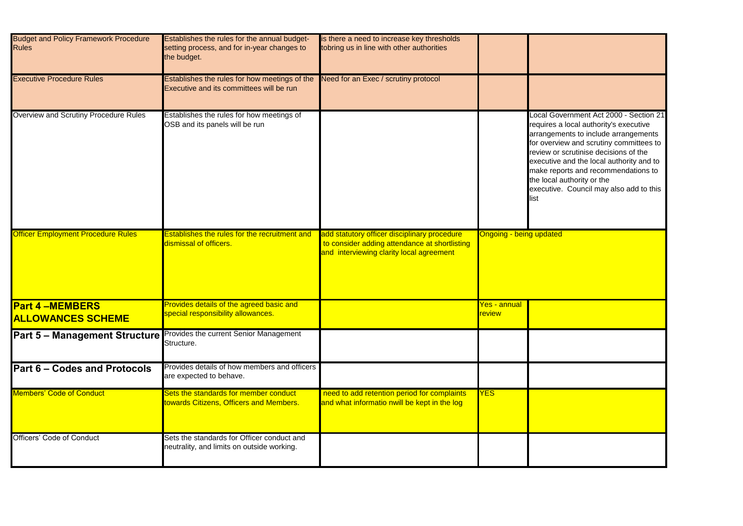

| <b>Budget and Policy Framework Procedure</b><br><b>Rules</b> | Establishes the rules for the annual budget-<br>setting process, and for in-year changes to<br>the budget. | is there a need to increase key thresholds<br>tobring us in line with other authorities                                                   |                                       |                                                                                                                                     |
|--------------------------------------------------------------|------------------------------------------------------------------------------------------------------------|-------------------------------------------------------------------------------------------------------------------------------------------|---------------------------------------|-------------------------------------------------------------------------------------------------------------------------------------|
| <b>Executive Procedure Rules</b>                             | Establishes the rules for how meetings of the<br>Executive and its committees will be run                  | Need for an Exec / scrutiny protocol                                                                                                      |                                       |                                                                                                                                     |
| Overview and Scrutiny Procedure Rules                        | Establishes the rules for how meetings of<br>OSB and its panels will be run                                |                                                                                                                                           |                                       | <b>Local Gov</b><br>requires a<br>arrangem<br>for overvie<br>review or<br>executive<br>make rep<br>the local a<br>executive<br>list |
| <b>Officer Employment Procedure Rules</b>                    | <b>Establishes the rules for the recruitment and</b><br>dismissal of officers.                             | add statutory officer disciplinary procedure<br>to consider adding attendance at shortlisting<br>and interviewing clarity local agreement | <b>Ongoing - being updated</b>        |                                                                                                                                     |
| <b>Part 4-MEMBERS</b><br><b>ALLOWANCES SCHEME</b>            | Provides details of the agreed basic and<br>special responsibility allowances.                             |                                                                                                                                           | <u> Yes - annual</u><br><b>review</b> |                                                                                                                                     |
| <b>Part 5 - Management Structure</b>                         | Provides the current Senior Management<br>Structure.                                                       |                                                                                                                                           |                                       |                                                                                                                                     |
| <b>Part 6 - Codes and Protocols</b>                          | Provides details of how members and officers<br>are expected to behave.                                    |                                                                                                                                           |                                       |                                                                                                                                     |
| <b>Members' Code of Conduct</b>                              | Sets the standards for member conduct<br>towards Citizens, Officers and Members.                           | need to add retention period for complaints<br>and what informatio nwill be kept in the log                                               | <b>YES</b>                            |                                                                                                                                     |
| <b>Officers' Code of Conduct</b>                             | Sets the standards for Officer conduct and<br>neutrality, and limits on outside working.                   |                                                                                                                                           |                                       |                                                                                                                                     |